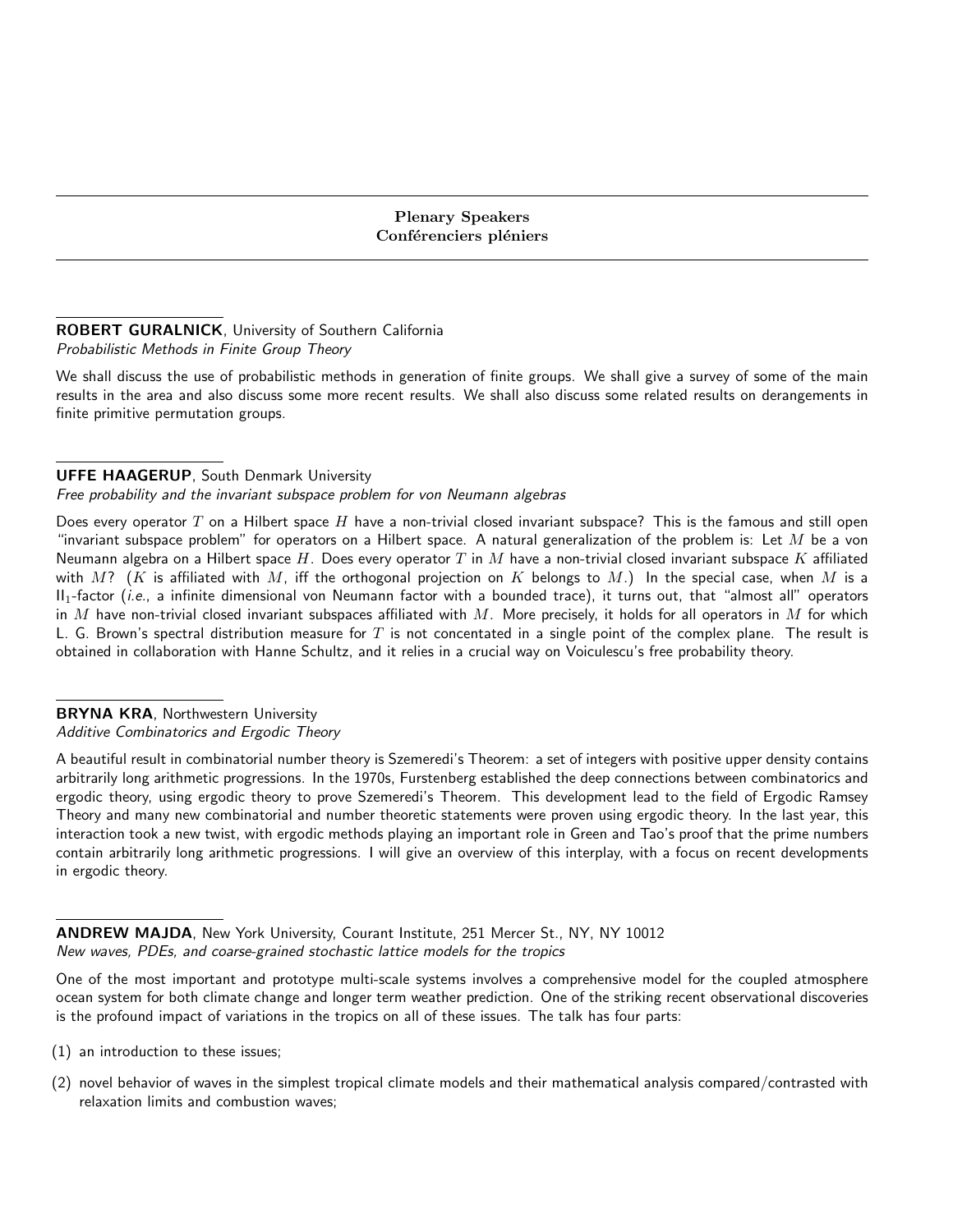#### ROBERT GURALNICK, University of Southern California Probabilistic Methods in Finite Group Theory

We shall discuss the use of probabilistic methods in generation of finite groups. We shall give a survey of some of the main results in the area and also discuss some more recent results. We shall also discuss some related results on derangements in finite primitive permutation groups.

# UFFE HAAGERUP, South Denmark University

Free probability and the invariant subspace problem for von Neumann algebras

Does every operator T on a Hilbert space H have a non-trivial closed invariant subspace? This is the famous and still open "invariant subspace problem" for operators on a Hilbert space. A natural generalization of the problem is: Let  $M$  be a von Neumann algebra on a Hilbert space H. Does every operator T in M have a non-trivial closed invariant subspace K affiliated with M? (K is affiliated with M, iff the orthogonal projection on K belongs to M.) In the special case, when M is a  $II_1$ -factor (*i.e.*, a infinite dimensional von Neumann factor with a bounded trace), it turns out, that "almost all" operators in  $M$  have non-trivial closed invariant subspaces affiliated with  $M$ . More precisely, it holds for all operators in  $M$  for which L. G. Brown's spectral distribution measure for  $T$  is not concentated in a single point of the complex plane. The result is obtained in collaboration with Hanne Schultz, and it relies in a crucial way on Voiculescu's free probability theory.

#### BRYNA KRA, Northwestern University Additive Combinatorics and Ergodic Theory

A beautiful result in combinatorial number theory is Szemeredi's Theorem: a set of integers with positive upper density contains arbitrarily long arithmetic progressions. In the 1970s, Furstenberg established the deep connections between combinatorics and ergodic theory, using ergodic theory to prove Szemeredi's Theorem. This development lead to the field of Ergodic Ramsey Theory and many new combinatorial and number theoretic statements were proven using ergodic theory. In the last year, this interaction took a new twist, with ergodic methods playing an important role in Green and Tao's proof that the prime numbers contain arbitrarily long arithmetic progressions. I will give an overview of this interplay, with a focus on recent developments in ergodic theory.

ANDREW MAJDA, New York University, Courant Institute, 251 Mercer St., NY, NY 10012 New waves, PDEs, and coarse-grained stochastic lattice models for the tropics

One of the most important and prototype multi-scale systems involves a comprehensive model for the coupled atmosphere ocean system for both climate change and longer term weather prediction. One of the striking recent observational discoveries is the profound impact of variations in the tropics on all of these issues. The talk has four parts:

- (1) an introduction to these issues;
- (2) novel behavior of waves in the simplest tropical climate models and their mathematical analysis compared/contrasted with relaxation limits and combustion waves;